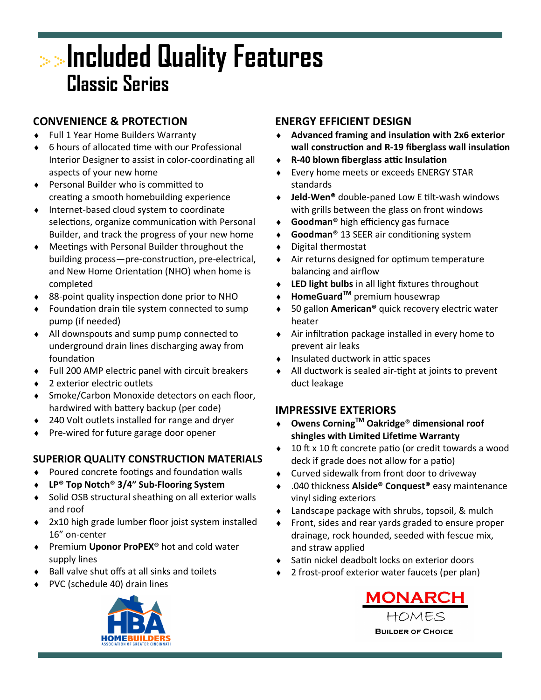# **Included Quality Features Classic Series**

## **CONVENIENCE & PROTECTION**

- ◆ Full 1 Year Home Builders Warranty
- 6 hours of allocated time with our Professional Interior Designer to assist in color-coordinating all aspects of your new home
- ◆ Personal Builder who is committed to creating a smooth homebuilding experience
- Internet-based cloud system to coordinate selections, organize communication with Personal Builder, and track the progress of your new home
- Meetings with Personal Builder throughout the building process—pre-construction, pre-electrical, and New Home Orientation (NHO) when home is completed
- 88-point quality inspection done prior to NHO
- Foundation drain tile system connected to sump pump (if needed)
- All downspouts and sump pump connected to underground drain lines discharging away from foundation
- Full 200 AMP electric panel with circuit breakers
- 2 exterior electric outlets
- Smoke/Carbon Monoxide detectors on each floor, hardwired with battery backup (per code)
- 240 Volt outlets installed for range and dryer
- Pre-wired for future garage door opener

#### **SUPERIOR QUALITY CONSTRUCTION MATERIALS**

- Poured concrete footings and foundation walls
- **LP® Top Notch® 3/4" Sub-Flooring System**
- ◆ Solid OSB structural sheathing on all exterior walls and roof
- 2x10 high grade lumber floor joist system installed 16" on-center
- Premium **Uponor ProPEX®** hot and cold water supply lines
- $\bullet$  Ball valve shut offs at all sinks and toilets
- PVC (schedule 40) drain lines



### **ENERGY EFFICIENT DESIGN**

- **Advanced framing and insulation with 2x6 exterior wall construction and R-19 fiberglass wall insulation**
- **R-40 blown fiberglass attic Insulation**
- Every home meets or exceeds ENERGY STAR standards
- **Jeld-Wen®** double-paned Low E tilt-wash windows with grills between the glass on front windows
- **Goodman®** high efficiency gas furnace
- **Goodman®** 13 SEER air conditioning system
- Digital thermostat
- Air returns designed for optimum temperature balancing and airflow
- **LED light bulbs** in all light fixtures throughout
- ◆ HomeGuard<sup>™</sup> premium housewrap
- 50 gallon **American®** quick recovery electric water heater
- Air infiltration package installed in every home to prevent air leaks
- $\bullet$  Insulated ductwork in attic spaces
- All ductwork is sealed air-tight at joints to prevent duct leakage

#### **IMPRESSIVE EXTERIORS**

- **Owens CorningTM Oakridge® dimensional roof shingles with Limited Lifetime Warranty**
- ◆ 10 ft x 10 ft concrete patio (or credit towards a wood deck if grade does not allow for a patio)
- Curved sidewalk from front door to driveway
- .040 thickness **Alside® Conquest®** easy maintenance vinyl siding exteriors
- Landscape package with shrubs, topsoil, & mulch
- Front, sides and rear yards graded to ensure proper drainage, rock hounded, seeded with fescue mix, and straw applied
- Satin nickel deadbolt locks on exterior doors
- 2 frost-proof exterior water faucets (per plan)